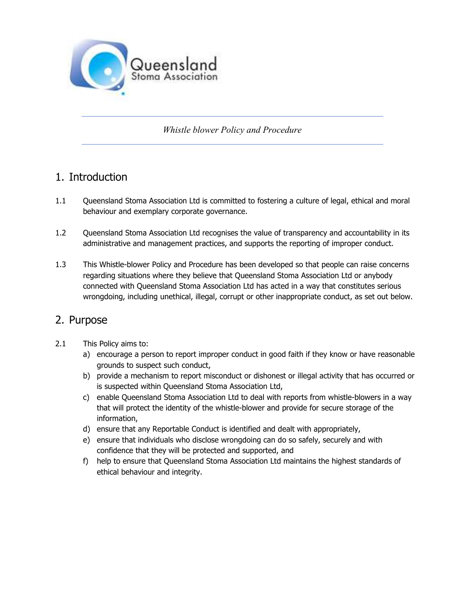

*Whistle blower Policy and Procedure* 

# 1. Introduction

- 1.1 Queensland Stoma Association Ltd is committed to fostering a culture of legal, ethical and moral behaviour and exemplary corporate governance.
- 1.2 Queensland Stoma Association Ltd recognises the value of transparency and accountability in its administrative and management practices, and supports the reporting of improper conduct.
- 1.3 This Whistle-blower Policy and Procedure has been developed so that people can raise concerns regarding situations where they believe that Queensland Stoma Association Ltd or anybody connected with Queensland Stoma Association Ltd has acted in a way that constitutes serious wrongdoing, including unethical, illegal, corrupt or other inappropriate conduct, as set out below.

# 2. Purpose

- 2.1 This Policy aims to:
	- a) encourage a person to report improper conduct in good faith if they know or have reasonable grounds to suspect such conduct,
	- b) provide a mechanism to report misconduct or dishonest or illegal activity that has occurred or is suspected within Queensland Stoma Association Ltd,
	- c) enable Queensland Stoma Association Ltd to deal with reports from whistle-blowers in a way that will protect the identity of the whistle-blower and provide for secure storage of the information,
	- d) ensure that any Reportable Conduct is identified and dealt with appropriately,
	- e) ensure that individuals who disclose wrongdoing can do so safely, securely and with confidence that they will be protected and supported, and
	- f) help to ensure that Queensland Stoma Association Ltd maintains the highest standards of ethical behaviour and integrity.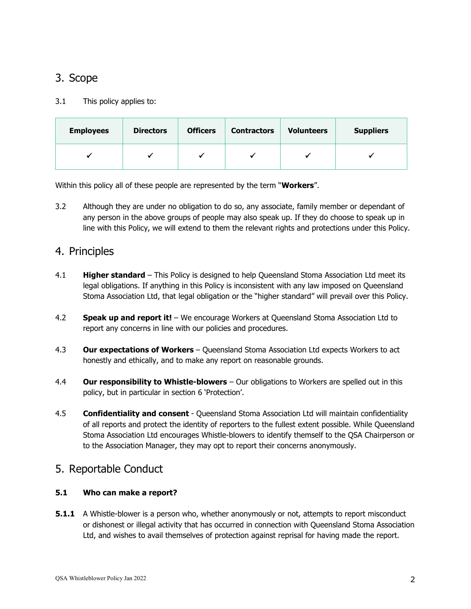# 3. Scope

#### 3.1 This policy applies to:

| <b>Employees</b> | <b>Directors</b> | <b>Officers</b> | <b>Contractors</b> | <b>Volunteers</b> | <b>Suppliers</b> |
|------------------|------------------|-----------------|--------------------|-------------------|------------------|
|                  |                  |                 |                    |                   |                  |

Within this policy all of these people are represented by the term "**Workers**".

3.2 Although they are under no obligation to do so, any associate, family member or dependant of any person in the above groups of people may also speak up. If they do choose to speak up in line with this Policy, we will extend to them the relevant rights and protections under this Policy.

## 4. Principles

- 4.1 **Higher standard**  This Policy is designed to help Queensland Stoma Association Ltd meet its legal obligations. If anything in this Policy is inconsistent with any law imposed on Queensland Stoma Association Ltd, that legal obligation or the "higher standard" will prevail over this Policy.
- 4.2 **Speak up and report it!**  We encourage Workers at Queensland Stoma Association Ltd to report any concerns in line with our policies and procedures.
- 4.3 **Our expectations of Workers**  Queensland Stoma Association Ltd expects Workers to act honestly and ethically, and to make any report on reasonable grounds.
- 4.4 **Our responsibility to Whistle-blowers** Our obligations to Workers are spelled out in this policy, but in particular in section 6 'Protection'.
- 4.5 **Confidentiality and consent**  Queensland Stoma Association Ltd will maintain confidentiality of all reports and protect the identity of reporters to the fullest extent possible. While Queensland Stoma Association Ltd encourages Whistle-blowers to identify themself to the QSA Chairperson or to the Association Manager, they may opt to report their concerns anonymously.

## 5. Reportable Conduct

#### **5.1 Who can make a report?**

**5.1.1** A Whistle-blower is a person who, whether anonymously or not, attempts to report misconduct or dishonest or illegal activity that has occurred in connection with Queensland Stoma Association Ltd, and wishes to avail themselves of protection against reprisal for having made the report.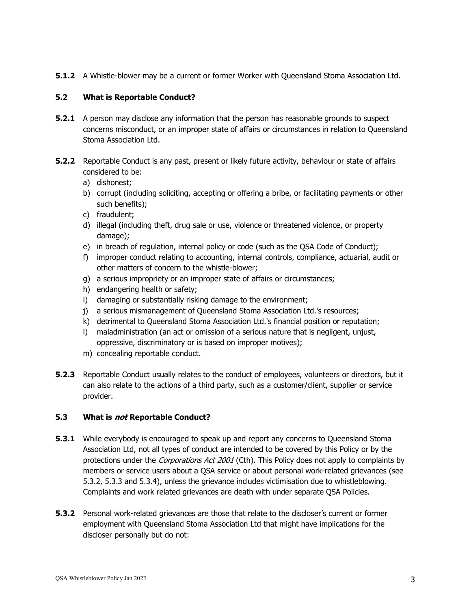**5.1.2** A Whistle-blower may be a current or former Worker with Queensland Stoma Association Ltd.

#### **5.2 What is Reportable Conduct?**

- **5.2.1** A person may disclose any information that the person has reasonable grounds to suspect concerns misconduct, or an improper state of affairs or circumstances in relation to Queensland Stoma Association Ltd.
- **5.2.2** Reportable Conduct is any past, present or likely future activity, behaviour or state of affairs considered to be:
	- a) dishonest;
	- b) corrupt (including soliciting, accepting or offering a bribe, or facilitating payments or other such benefits);
	- c) fraudulent;
	- d) illegal (including theft, drug sale or use, violence or threatened violence, or property damage);
	- e) in breach of regulation, internal policy or code (such as the QSA Code of Conduct);
	- f) improper conduct relating to accounting, internal controls, compliance, actuarial, audit or other matters of concern to the whistle-blower;
	- g) a serious impropriety or an improper state of affairs or circumstances;
	- h) endangering health or safety;
	- i) damaging or substantially risking damage to the environment;
	- j) a serious mismanagement of Queensland Stoma Association Ltd.'s resources;
	- k) detrimental to Queensland Stoma Association Ltd.'s financial position or reputation;
	- l) maladministration (an act or omission of a serious nature that is negligent, unjust, oppressive, discriminatory or is based on improper motives);
	- m) concealing reportable conduct.
- **5.2.3** Reportable Conduct usually relates to the conduct of employees, volunteers or directors, but it can also relate to the actions of a third party, such as a customer/client, supplier or service provider.

#### **5.3 What is not Reportable Conduct?**

- **5.3.1** While everybody is encouraged to speak up and report any concerns to Queensland Stoma Association Ltd, not all types of conduct are intended to be covered by this Policy or by the protections under the *Corporations Act 2001* (Cth). This Policy does not apply to complaints by members or service users about a QSA service or about personal work-related grievances (see 5.3.2, 5.3.3 and 5.3.4), unless the grievance includes victimisation due to whistleblowing. Complaints and work related grievances are death with under separate QSA Policies.
- **5.3.2** Personal work-related grievances are those that relate to the discloser's current or former employment with Queensland Stoma Association Ltd that might have implications for the discloser personally but do not: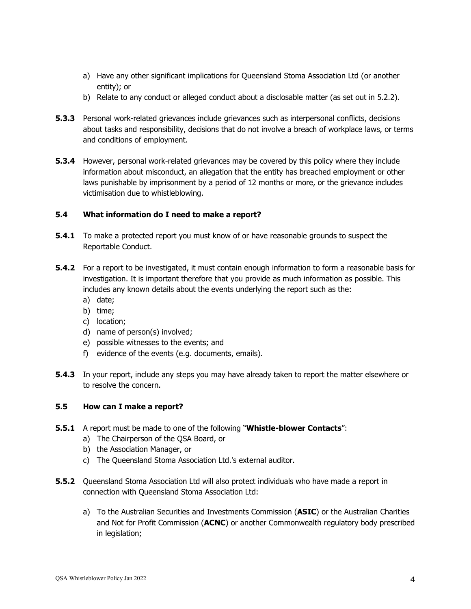- a) Have any other significant implications for Queensland Stoma Association Ltd (or another entity); or
- b) Relate to any conduct or alleged conduct about a disclosable matter (as set out in 5.2.2).
- **5.3.3** Personal work-related grievances include grievances such as interpersonal conflicts, decisions about tasks and responsibility, decisions that do not involve a breach of workplace laws, or terms and conditions of employment.
- **5.3.4** However, personal work-related grievances may be covered by this policy where they include information about misconduct, an allegation that the entity has breached employment or other laws punishable by imprisonment by a period of 12 months or more, or the grievance includes victimisation due to whistleblowing.

#### **5.4 What information do I need to make a report?**

- **5.4.1** To make a protected report you must know of or have reasonable grounds to suspect the Reportable Conduct.
- **5.4.2** For a report to be investigated, it must contain enough information to form a reasonable basis for investigation. It is important therefore that you provide as much information as possible. This includes any known details about the events underlying the report such as the:
	- a) date;
	- b) time;
	- c) location;
	- d) name of person(s) involved;
	- e) possible witnesses to the events; and
	- f) evidence of the events (e.g. documents, emails).
- **5.4.3** In your report, include any steps you may have already taken to report the matter elsewhere or to resolve the concern.

#### **5.5 How can I make a report?**

- **5.5.1** A report must be made to one of the following "**Whistle-blower Contacts**":
	- a) The Chairperson of the QSA Board, or
	- b) the Association Manager, or
	- c) The Queensland Stoma Association Ltd.'s external auditor.
- **5.5.2** Queensland Stoma Association Ltd will also protect individuals who have made a report in connection with Queensland Stoma Association Ltd:
	- a) To the Australian Securities and Investments Commission (**ASIC**) or the Australian Charities and Not for Profit Commission (**ACNC**) or another Commonwealth regulatory body prescribed in legislation;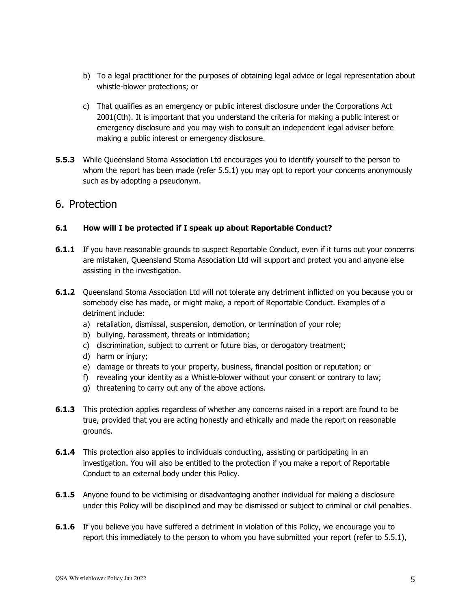- b) To a legal practitioner for the purposes of obtaining legal advice or legal representation about whistle-blower protections; or
- c) That qualifies as an emergency or public interest disclosure under the Corporations Act 2001(Cth). It is important that you understand the criteria for making a public interest or emergency disclosure and you may wish to consult an independent legal adviser before making a public interest or emergency disclosure.
- **5.5.3** While Queensland Stoma Association Ltd encourages you to identify yourself to the person to whom the report has been made (refer 5.5.1) you may opt to report your concerns anonymously such as by adopting a pseudonym.

### 6. Protection

#### **6.1 How will I be protected if I speak up about Reportable Conduct?**

- **6.1.1** If you have reasonable grounds to suspect Reportable Conduct, even if it turns out your concerns are mistaken, Queensland Stoma Association Ltd will support and protect you and anyone else assisting in the investigation.
- **6.1.2** Queensland Stoma Association Ltd will not tolerate any detriment inflicted on you because you or somebody else has made, or might make, a report of Reportable Conduct. Examples of a detriment include:
	- a) retaliation, dismissal, suspension, demotion, or termination of your role;
	- b) bullying, harassment, threats or intimidation;
	- c) discrimination, subject to current or future bias, or derogatory treatment;
	- d) harm or injury;
	- e) damage or threats to your property, business, financial position or reputation; or
	- f) revealing your identity as a Whistle-blower without your consent or contrary to law;
	- g) threatening to carry out any of the above actions.
- **6.1.3** This protection applies regardless of whether any concerns raised in a report are found to be true, provided that you are acting honestly and ethically and made the report on reasonable grounds.
- **6.1.4** This protection also applies to individuals conducting, assisting or participating in an investigation. You will also be entitled to the protection if you make a report of Reportable Conduct to an external body under this Policy.
- **6.1.5** Anyone found to be victimising or disadvantaging another individual for making a disclosure under this Policy will be disciplined and may be dismissed or subject to criminal or civil penalties.
- **6.1.6** If you believe you have suffered a detriment in violation of this Policy, we encourage you to report this immediately to the person to whom you have submitted your report (refer to 5.5.1),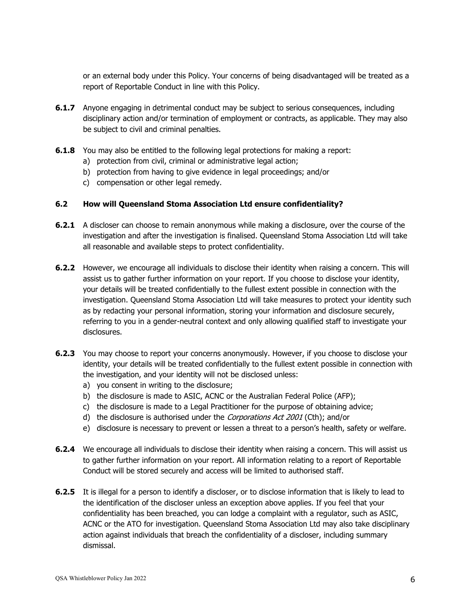or an external body under this Policy. Your concerns of being disadvantaged will be treated as a report of Reportable Conduct in line with this Policy.

- **6.1.7** Anyone engaging in detrimental conduct may be subject to serious consequences, including disciplinary action and/or termination of employment or contracts, as applicable. They may also be subject to civil and criminal penalties.
- **6.1.8** You may also be entitled to the following legal protections for making a report:
	- a) protection from civil, criminal or administrative legal action;
	- b) protection from having to give evidence in legal proceedings; and/or
	- c) compensation or other legal remedy.

#### **6.2 How will Queensland Stoma Association Ltd ensure confidentiality?**

- **6.2.1** A discloser can choose to remain anonymous while making a disclosure, over the course of the investigation and after the investigation is finalised. Queensland Stoma Association Ltd will take all reasonable and available steps to protect confidentiality.
- **6.2.2** However, we encourage all individuals to disclose their identity when raising a concern. This will assist us to gather further information on your report. If you choose to disclose your identity, your details will be treated confidentially to the fullest extent possible in connection with the investigation. Queensland Stoma Association Ltd will take measures to protect your identity such as by redacting your personal information, storing your information and disclosure securely, referring to you in a gender-neutral context and only allowing qualified staff to investigate your disclosures.
- **6.2.3** You may choose to report your concerns anonymously. However, if you choose to disclose your identity, your details will be treated confidentially to the fullest extent possible in connection with the investigation, and your identity will not be disclosed unless:
	- a) you consent in writing to the disclosure;
	- b) the disclosure is made to ASIC, ACNC or the Australian Federal Police (AFP);
	- c) the disclosure is made to a Legal Practitioner for the purpose of obtaining advice;
	- d) the disclosure is authorised under the Corporations Act 2001 (Cth); and/or
	- e) disclosure is necessary to prevent or lessen a threat to a person's health, safety or welfare.
- **6.2.4** We encourage all individuals to disclose their identity when raising a concern. This will assist us to gather further information on your report. All information relating to a report of Reportable Conduct will be stored securely and access will be limited to authorised staff.
- **6.2.5** It is illegal for a person to identify a discloser, or to disclose information that is likely to lead to the identification of the discloser unless an exception above applies. If you feel that your confidentiality has been breached, you can lodge a complaint with a regulator, such as ASIC, ACNC or the ATO for investigation. Queensland Stoma Association Ltd may also take disciplinary action against individuals that breach the confidentiality of a discloser, including summary dismissal.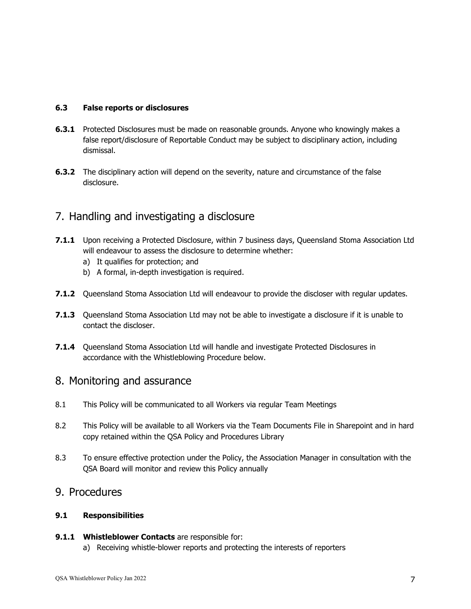#### **6.3 False reports or disclosures**

- **6.3.1** Protected Disclosures must be made on reasonable grounds. Anyone who knowingly makes a false report/disclosure of Reportable Conduct may be subject to disciplinary action, including dismissal.
- **6.3.2** The disciplinary action will depend on the severity, nature and circumstance of the false disclosure.

## 7. Handling and investigating a disclosure

- **7.1.1** Upon receiving a Protected Disclosure, within 7 business days, Queensland Stoma Association Ltd will endeavour to assess the disclosure to determine whether:
	- a) It qualifies for protection; and
	- b) A formal, in-depth investigation is required.
- **7.1.2** Queensland Stoma Association Ltd will endeavour to provide the discloser with regular updates.
- **7.1.3** Queensland Stoma Association Ltd may not be able to investigate a disclosure if it is unable to contact the discloser.
- **7.1.4** Queensland Stoma Association Ltd will handle and investigate Protected Disclosures in accordance with the Whistleblowing Procedure below.

## 8. Monitoring and assurance

- 8.1 This Policy will be communicated to all Workers via regular Team Meetings
- 8.2 This Policy will be available to all Workers via the Team Documents File in Sharepoint and in hard copy retained within the QSA Policy and Procedures Library
- 8.3 To ensure effective protection under the Policy, the Association Manager in consultation with the QSA Board will monitor and review this Policy annually

## 9. Procedures

#### **9.1 Responsibilities**

#### **9.1.1 Whistleblower Contacts** are responsible for:

a) Receiving whistle-blower reports and protecting the interests of reporters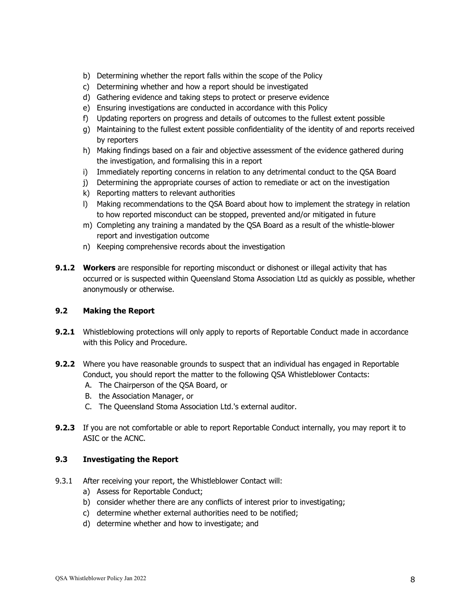- b) Determining whether the report falls within the scope of the Policy
- c) Determining whether and how a report should be investigated
- d) Gathering evidence and taking steps to protect or preserve evidence
- e) Ensuring investigations are conducted in accordance with this Policy
- f) Updating reporters on progress and details of outcomes to the fullest extent possible
- g) Maintaining to the fullest extent possible confidentiality of the identity of and reports received by reporters
- h) Making findings based on a fair and objective assessment of the evidence gathered during the investigation, and formalising this in a report
- i) Immediately reporting concerns in relation to any detrimental conduct to the QSA Board
- j) Determining the appropriate courses of action to remediate or act on the investigation
- k) Reporting matters to relevant authorities
- l) Making recommendations to the QSA Board about how to implement the strategy in relation to how reported misconduct can be stopped, prevented and/or mitigated in future
- m) Completing any training a mandated by the QSA Board as a result of the whistle-blower report and investigation outcome
- n) Keeping comprehensive records about the investigation
- **9.1.2 Workers** are responsible for reporting misconduct or dishonest or illegal activity that has occurred or is suspected within Queensland Stoma Association Ltd as quickly as possible, whether anonymously or otherwise.

#### **9.2 Making the Report**

- **9.2.1** Whistleblowing protections will only apply to reports of Reportable Conduct made in accordance with this Policy and Procedure.
- **9.2.2** Where you have reasonable grounds to suspect that an individual has engaged in Reportable Conduct, you should report the matter to the following QSA Whistleblower Contacts:
	- A. The Chairperson of the QSA Board, or
	- B. the Association Manager, or
	- C. The Queensland Stoma Association Ltd.'s external auditor.
- **9.2.3** If you are not comfortable or able to report Reportable Conduct internally, you may report it to ASIC or the ACNC.

#### **9.3 Investigating the Report**

- 9.3.1 After receiving your report, the Whistleblower Contact will:
	- a) Assess for Reportable Conduct;
	- b) consider whether there are any conflicts of interest prior to investigating;
	- c) determine whether external authorities need to be notified;
	- d) determine whether and how to investigate; and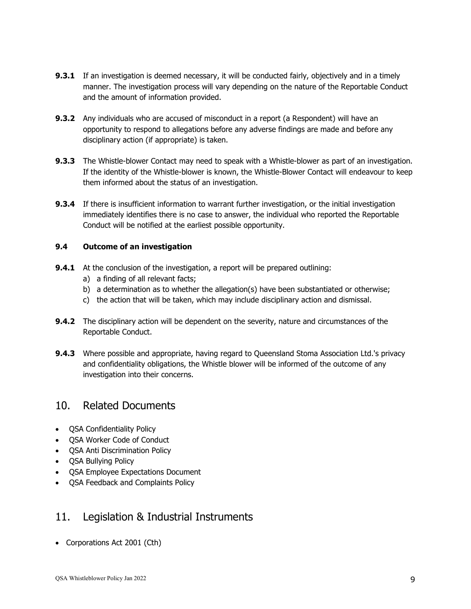- **9.3.1** If an investigation is deemed necessary, it will be conducted fairly, objectively and in a timely manner. The investigation process will vary depending on the nature of the Reportable Conduct and the amount of information provided.
- **9.3.2** Any individuals who are accused of misconduct in a report (a Respondent) will have an opportunity to respond to allegations before any adverse findings are made and before any disciplinary action (if appropriate) is taken.
- **9.3.3** The Whistle-blower Contact may need to speak with a Whistle-blower as part of an investigation. If the identity of the Whistle-blower is known, the Whistle-Blower Contact will endeavour to keep them informed about the status of an investigation.
- **9.3.4** If there is insufficient information to warrant further investigation, or the initial investigation immediately identifies there is no case to answer, the individual who reported the Reportable Conduct will be notified at the earliest possible opportunity.

#### **9.4 Outcome of an investigation**

- **9.4.1** At the conclusion of the investigation, a report will be prepared outlining:
	- a) a finding of all relevant facts;
	- b) a determination as to whether the allegation(s) have been substantiated or otherwise;
	- c) the action that will be taken, which may include disciplinary action and dismissal.
- **9.4.2** The disciplinary action will be dependent on the severity, nature and circumstances of the Reportable Conduct.
- **9.4.3** Where possible and appropriate, having regard to Queensland Stoma Association Ltd.'s privacy and confidentiality obligations, the Whistle blower will be informed of the outcome of any investigation into their concerns.

## 10. Related Documents

- QSA Confidentiality Policy
- QSA Worker Code of Conduct
- **QSA Anti Discrimination Policy**
- QSA Bullying Policy
- QSA Employee Expectations Document
- QSA Feedback and Complaints Policy

# 11. Legislation & Industrial Instruments

• Corporations Act 2001 (Cth)